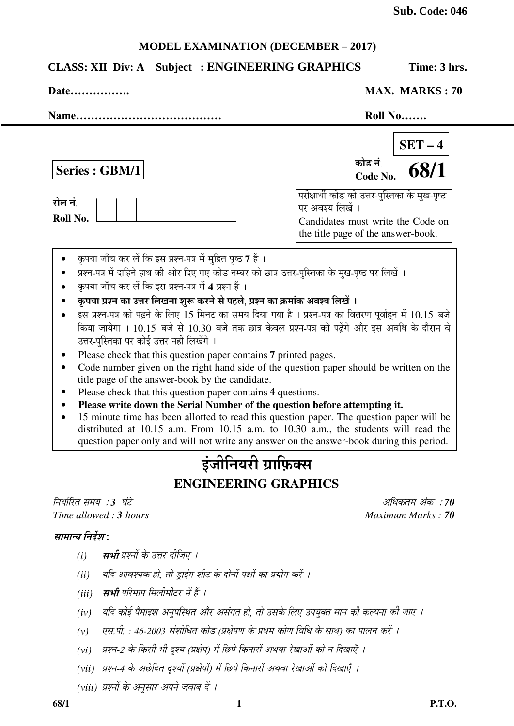## **MODEL EXAMINATION (DECEMBER – 2017)**

# **CLASS: XII Div: A Subject : ENGINEERING GRAPHICS Time: 3 hrs.**

| Date |  | <b>MAX. MARKS: 70</b> |  |
|------|--|-----------------------|--|
|------|--|-----------------------|--|

| Name                                                                                                                                                                                                      | Roll No                                                                                                                                                                                                                                                                     |
|-----------------------------------------------------------------------------------------------------------------------------------------------------------------------------------------------------------|-----------------------------------------------------------------------------------------------------------------------------------------------------------------------------------------------------------------------------------------------------------------------------|
| Series : GBM/1                                                                                                                                                                                            | $SET - 4$<br>कोड नं<br>68/1<br>Code No.                                                                                                                                                                                                                                     |
| रोल नं.<br>Roll No.                                                                                                                                                                                       | परीक्षार्थी कोड को उत्तर-पुस्तिका के मुख-पृष्ठ<br>पर अवश्य लिखें ।<br>Candidates must write the Code on<br>the title page of the answer-book.                                                                                                                               |
| कृपया जाँच कर लें कि इस प्रश्न-पत्र में मुद्रित पृष्ठ 7 हैं ।<br>कृपया जाँच कर लें कि इस प्रश्न-पत्र में 4 प्रश्न हैं ।<br>कृपया प्रश्न का उत्तर लिखना शुरू करने से पहले, प्रश्न का क्रमांक अवश्य लिखें । | प्रश्न-पत्र में दाहिने हाथ की ओर दिए गए कोड नम्बर को छात्र उत्तर-पुस्तिका के मुख-पृष्ठ पर लिखें ।                                                                                                                                                                           |
| उत्तर-पुस्तिका पर कोई उत्तर नहीं लिखेंगे ।                                                                                                                                                                | इस प्रश्न-पत्र को पढ़ने के लिए 15 मिनट का समय दिया गया है । प्रश्न-पत्र का वितरण पूर्वाहन में 10.15 बजे<br>किया जायेगा । 10.15 बजे से 10.30 बजे तक छात्र केवल प्रश्न-पत्र को पढ़ेंगे और इस अवधि के दौरान वे                                                                 |
| Please check that this question paper contains 7 printed pages.<br>title page of the answer-book by the candidate.<br>Please check that this question paper contains 4 questions.                         | Code number given on the right hand side of the question paper should be written on the                                                                                                                                                                                     |
| Please write down the Serial Number of the question before attempting it.                                                                                                                                 | 15 minute time has been allotted to read this question paper. The question paper will be<br>distributed at 10.15 a.m. From 10.15 a.m. to 10.30 a.m., the students will read the<br>question paper only and will not write any answer on the answer-book during this period. |
|                                                                                                                                                                                                           | इंजीनियरी ग्राफ़िक्स                                                                                                                                                                                                                                                        |
|                                                                                                                                                                                                           | <b>ENGINEERING GRAPHICS</b>                                                                                                                                                                                                                                                 |
| निर्धारित समय :3 घंटे<br>Time allowed: 3 hours                                                                                                                                                            | अधिकतम अंक :70<br>Maximum Marks: 70                                                                                                                                                                                                                                         |
| सामान्य निर्देश:                                                                                                                                                                                          |                                                                                                                                                                                                                                                                             |
| <b>सभी</b> प्रश्नों के उत्तर दीजिए ।<br>(i)                                                                                                                                                               |                                                                                                                                                                                                                                                                             |
| यदि आवश्यक हो, तो ड्राइंग शीट के दोनों पक्षों का प्रयोग करें ।<br>(ii)                                                                                                                                    |                                                                                                                                                                                                                                                                             |
| सभी परिमाप मिलीमीटर में हैं ।<br>(iii)                                                                                                                                                                    |                                                                                                                                                                                                                                                                             |
| (iv)                                                                                                                                                                                                      | यदि कोई पैमाइश अनुपस्थित और असंगत हो, तो उसके लिए उपयुक्त मान की कल्पना की जाए ।                                                                                                                                                                                            |

- *(v) एस.पी. : 46-2003 संशोधित कोड (प्रक्षेपण के प्रथम कोण विधि के साथ) का पालन करें ।*
- (vi) प्रश्न-2 के किसी भी दृश्य (प्रक्षेप) में छिपे किनारों अथवा रेखाओं को न दिखाएँ ।
- *(vii) प्रश्न-4 के अछेदित दृश्यों (प्रक्षेपों) में छिपे किनारों अथवा रेखाओं को दिखाएँ ।*
- *(viii) प्रश्नों के अनुसार अपने जवाब दें ।*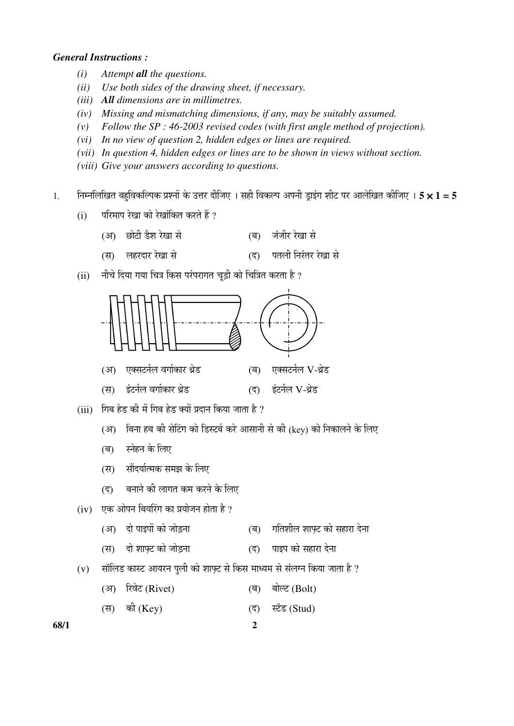## *General Instructions :*

- *(i) Attempt all the questions.*
- *(ii) Use both sides of the drawing sheet, if necessary.*
- *(iii) All dimensions are in millimetres.*
- *(iv) Missing and mismatching dimensions, if any, may be suitably assumed.*
- *(v) Follow the SP : 46-2003 revised codes (with first angle method of projection).*
- *(vi) In no view of question 2, hidden edges or lines are required.*
- *(vii) In question 4, hidden edges or lines are to be shown in views without section.*
- *(viii) Give your answers according to questions.*
- 1. निम्नलिखित बहविकल्पिक प्रश्नों के उत्तर दीजिए । सही विकल्प अपनी डाइंग शीट पर आलेखित कीजिए । **5 × 1 = 5** 
	- $(i)$  परिमाप रेखा को रेखांकित करते हैं ?
		- (†) "ûÖê™üß ›îü¿Ö ¸êüÜÖÖ ÃÖê (²Ö) •ÖÓ•Ö߸ü ¸êüÜÖÖ ÃÖê
		- (स) लहरदार रेखा से (द) पतली निरंतर रेखा से
	- $(iii)$  गीचे दिया गया चित्र किस परंपरागत चडी को चित्रित करता है ?



- (अ) बिना हब की सेटिंग को डिस्टर्ब करे आसानी से की (key) को निकालने के लिए
- (ब) स्नेहन के लिए
- (स) सौंदर्यात्मक समझ के लिए
- (द) बनाने की लागत कम करने के लिए
- $(iv)$  एक ओपन बियरिंग का प्रयोजन होता है ?
	- (अ) दो पाइपों को जोड़ना (ब) गतिशील शाफ्ट को सहारा देना
	- (स) दो शाफ्ट को जोड़ना (द) पाइप को सहारा देना
- $(v)$  सॉलिड कास्ट आयरन पुली को शाफ़्ट से किस माध्यम से संलग्न किया जाता है ?

(अ) रिवेट (Rivet) (ब) बोल्ट (Bolt)

(स) की (Key) (द) स्टॅड (Stud)

**68/1 2**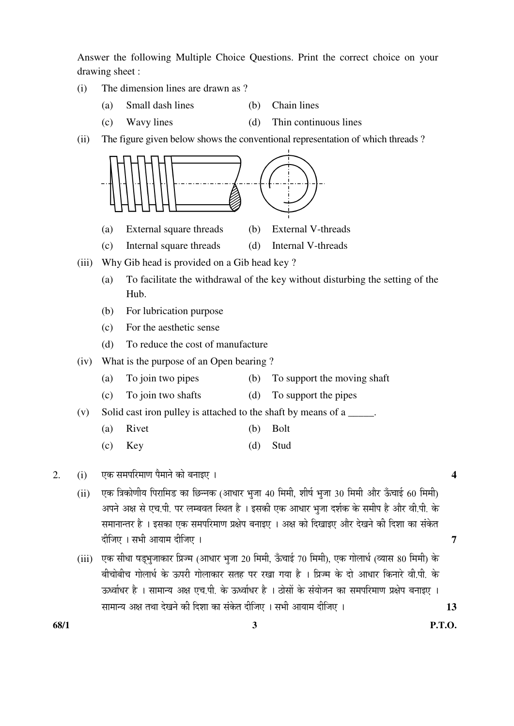Answer the following Multiple Choice Questions. Print the correct choice on your drawing sheet :

- (i) The dimension lines are drawn as ?
	- (a) Small dash lines (b) Chain lines
	- (c) Wavy lines (d) Thin continuous lines
- (ii) The figure given below shows the conventional representation of which threads ?



- (ii) एक त्रिकोणीय पिरामिड का छिन्नक (आधार भूजा 40 मिमी, शीर्ष भूजा 30 मिमी और ऊँचाई 60 मिमी) ञपने अक्ष से एच.पी. पर लम्बवत स्थित है । इसकी एक आधार भजा दर्शक के समीप है और वी.पी. के समानान्तर है । इसका एक समपरिमाण प्रक्षेप बनाइए । अक्ष को दिखाइए और देखने की दिशा का संकेत ¤üßו֋ … ÃÖ³Öß †ÖµÖÖ´Ö ¤üßו֋ … **7**
- (iii) एक सीधा षडभुजाकार प्रिज्म (आधार भुजा 20 मिमी, ऊँचाई 70 मिमी), एक गोलार्ध (व्यास 80 मिमी) के बीचोबीच गोलार्ध के ऊपरी गोलाकार सतह पर रखा गया है । प्रिज्म के दो आधार किनारे वी.पी. के ऊर्ध्वाधर है । सामान्य अक्ष एच.पी. के ऊर्ध्वाधर है । ठोसों के संयोजन का समपरिमाण प्रक्षेप बनाइए । ÃÖÖ´ÖÖ®µÖ †õÖ ŸÖ£ÖÖ ¤êüÜÖ®Öê Ûúß ×¤ü¿ÖÖ ÛúÖ ÃÖÓÛêúŸÖ ¤üßו֋ … ÃÖ³Öß †ÖµÖÖ´Ö ¤üßו֋ … **13**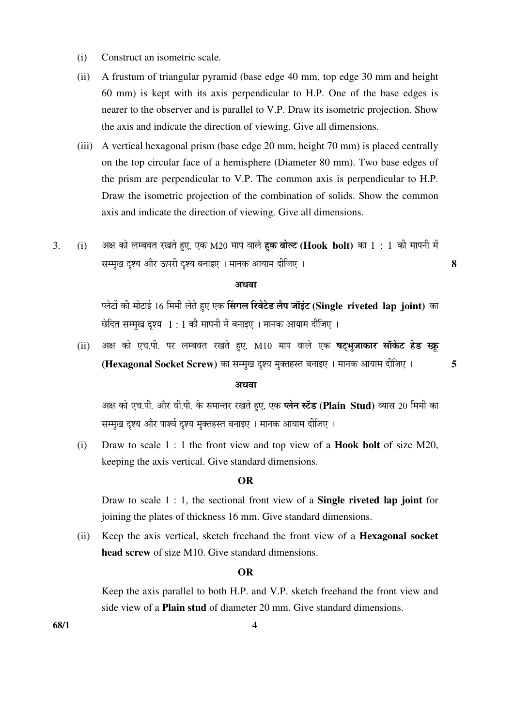- (i) Construct an isometric scale.
- (ii) A frustum of triangular pyramid (base edge 40 mm, top edge 30 mm and height 60 mm) is kept with its axis perpendicular to H.P. One of the base edges is nearer to the observer and is parallel to V.P. Draw its isometric projection. Show the axis and indicate the direction of viewing. Give all dimensions.
- (iii) A vertical hexagonal prism (base edge 20 mm, height 70 mm) is placed centrally on the top circular face of a hemisphere (Diameter 80 mm). Two base edges of the prism are perpendicular to V.P. The common axis is perpendicular to H.P. Draw the isometric projection of the combination of solids. Show the common axis and indicate the direction of viewing. Give all dimensions.
- 3. (i) अक्ष को लम्बवत रखते हुए, एक M20 माप वाले **हक बोल्ट (Hook bolt)** का 1 : 1 की मापनी में  $\overline{\textbf{R}}$ चम्मुख दृश्य और ऊपरी दृश्य बनाइए । मानक आयाम दीजिए ।

#### अथवा

ण्लेटों की मोटाई 16 मिमी लेते हुए एक **सिंगल रिवेटेड लैप जॉइंट (Single riveted lap joint)** का छेदित सम्मुख दृश्य  $1:1$  की मापनी में बनाइए । मानक आयाम दीजिए ।

 $(iii)$  अक्ष को एच.पी. पर लम्बवत रखते हए, M10 माप वाले एक **षटभजाकार सॉकेट हेड स्क्र (Hexagonal Socket Screw)** का सम्मख दश्य मक्तहस्त बनाइए । मानक आयाम दीजिए । … … 5

### अथवा

अक्ष को एच.पी. और वी.पी. के समान्तर रखते हए. एक **प्लेन स्टॅड (Plain Stud)** व्यास 20 मिमी का सम्मुख दृश्य और पार्श्व दृश्य मुक्तहस्त बनाइए । मानक आयाम दीजिए ।

 (i) Draw to scale 1 : 1 the front view and top view of a **Hook bolt** of size M20, keeping the axis vertical. Give standard dimensions.

### **OR**

 Draw to scale 1 : 1, the sectional front view of a **Single riveted lap joint** for joining the plates of thickness 16 mm. Give standard dimensions.

 (ii) Keep the axis vertical, sketch freehand the front view of a **Hexagonal socket head screw** of size M10. Give standard dimensions.

#### **OR**

 Keep the axis parallel to both H.P. and V.P. sketch freehand the front view and side view of a **Plain stud** of diameter 20 mm. Give standard dimensions.

**68/1 4**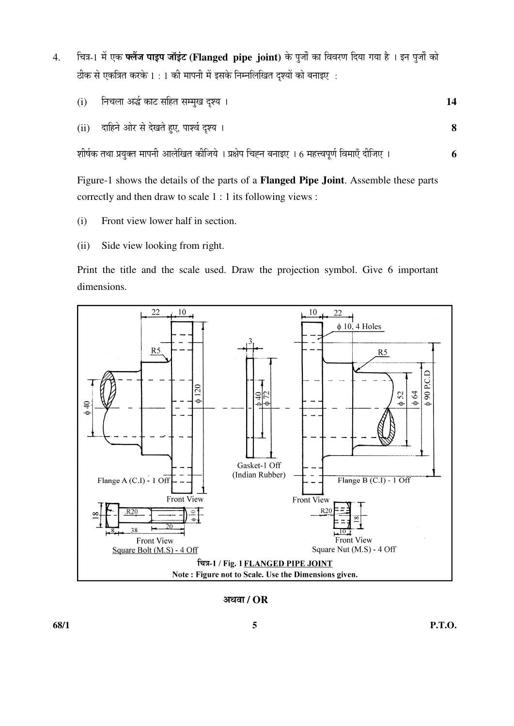- 4. चित्र-1 में एक **फ्लैंज पाइप जॉइंट (Flanged pipe joint)** के पूर्जों का विवरण दिया गया है । इन पूर्जों को ठीक से एकत्रित करके 1 : 1 की मापनी में इसके निम्नलिखित दृश्यों को बनाइए :
	- (i) ×®Ö"Ö»ÖÖ †¨Ôü ÛúÖ™ü ÃÖׯüŸÖ ÃÖ´´ÖãÜÖ ¥ü¿µÖ … **14**
	- (ii) ¤üÖׯü®Öê †Öê¸ü ÃÖê ¤êüÜÖŸÖê Æãü‹, ¯ÖÖ¿¾ÖÔ ¥ü¿µÖ … **8**

¿ÖßÂÖÔÛú ŸÖ£ÖÖ ¯ÖϵÖãŒŸÖ ´ÖÖ¯Ö®Öß †Ö»Öê×ÜÖŸÖ ÛúßוֵÖê … ¯ÖÏõÖê¯Ö דÖÅ®Ö ²Ö®ÖÖ‡‹ … 6 ´ÖÆü¢¾Ö¯ÖæÞÖÔ ×¾Ö´ÖÖ‹Ñ ¤üßו֋ … **6** 

 Figure-1 shows the details of the parts of a **Flanged Pipe Joint**. Assemble these parts correctly and then draw to scale 1 : 1 its following views :

- (i) Front view lower half in section.
- (ii) Side view looking from right.

 Print the title and the scale used. Draw the projection symbol. Give 6 important dimensions.



†£Ö¾ÖÖ **/ OR**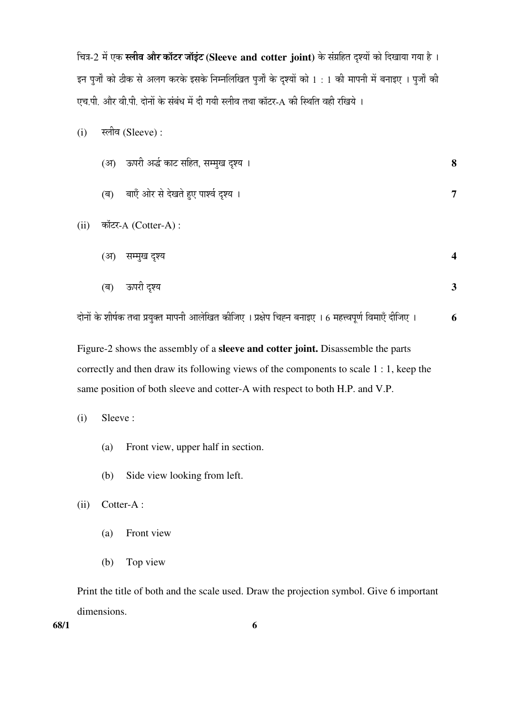चित्र-2 में एक स्लीव और कॉटर जॉइंट (Sleeve and cotter joint) के संग्रहित दृश्यों को दिखाया गया है। इन पुर्जों को ठीक से अलग करके इसके निम्नलिखित पुर्जों के दृश्यों को 1 : 1 की मापनी में बनाइए । पुर्जों की एच.पी. और वी.पी. दोनों के संबंध में दी गयी स्लीव तथा कॉटर-A की स्थिति वही रखिये ।

 $(i)$  स्लीव (Sleeve) :

|      | (अ) ऊपरी अर्द्ध काट सहित, सम्मुख दृश्य ।    | 8                       |
|------|---------------------------------------------|-------------------------|
|      | बाएँ ओर से देखते हुए पार्श्व दृश्य ।<br>(ৰ) | $\overline{7}$          |
| (ii) | कॉटर-A (Cotter-A) :                         |                         |
|      | (अ)<br>सम्मुख दृश्य                         | $\overline{\mathbf{4}}$ |
|      | ऊपरी दृश्य<br>(ब)                           | $\mathbf{3}$            |

दोनों के शीर्षक तथा प्रयुक्त मापनी आलेखित कीजिए । प्रक्षेप चिह्न बनाइए । 6 महत्त्वपूर्ण विमाएँ दीजिए । **6** 

Figure-2 shows the assembly of a **sleeve and cotter joint.** Disassemble the parts correctly and then draw its following views of the components to scale 1 : 1, keep the same position of both sleeve and cotter-A with respect to both H.P. and V.P.

(i) Sleeve :

- (a) Front view, upper half in section.
- (b) Side view looking from left.

(ii) Cotter-A :

- (a) Front view
- (b) Top view

 Print the title of both and the scale used. Draw the projection symbol. Give 6 important dimensions.

**68/1 6**